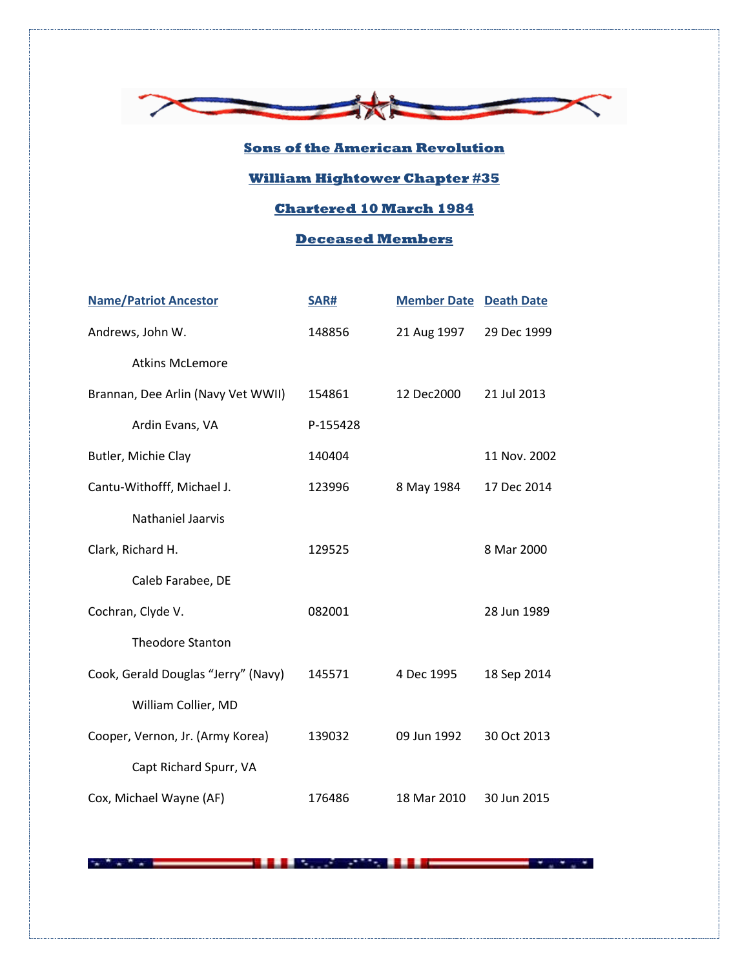

## **Sons of the American Revolution**

## **William Hightower Chapter #35**

## **Chartered 10 March 1984**

## **Deceased Members**

| <b>Name/Patriot Ancestor</b>        | <b>SAR#</b> | <b>Member Date</b> | <b>Death Date</b> |
|-------------------------------------|-------------|--------------------|-------------------|
| Andrews, John W.                    | 148856      | 21 Aug 1997        | 29 Dec 1999       |
| <b>Atkins McLemore</b>              |             |                    |                   |
| Brannan, Dee Arlin (Navy Vet WWII)  | 154861      | 12 Dec2000         | 21 Jul 2013       |
| Ardin Evans, VA                     | P-155428    |                    |                   |
| Butler, Michie Clay                 | 140404      |                    | 11 Nov. 2002      |
| Cantu-Withofff, Michael J.          | 123996      | 8 May 1984         | 17 Dec 2014       |
| <b>Nathaniel Jaarvis</b>            |             |                    |                   |
| Clark, Richard H.                   | 129525      |                    | 8 Mar 2000        |
| Caleb Farabee, DE                   |             |                    |                   |
| Cochran, Clyde V.                   | 082001      |                    | 28 Jun 1989       |
| <b>Theodore Stanton</b>             |             |                    |                   |
| Cook, Gerald Douglas "Jerry" (Navy) | 145571      | 4 Dec 1995         | 18 Sep 2014       |
| William Collier, MD                 |             |                    |                   |
| Cooper, Vernon, Jr. (Army Korea)    | 139032      | 09 Jun 1992        | 30 Oct 2013       |
| Capt Richard Spurr, VA              |             |                    |                   |
| Cox, Michael Wayne (AF)             | 176486      | 18 Mar 2010        | 30 Jun 2015       |

 $-1.1.1$ 

 $\sim$   $\sim$   $\sim$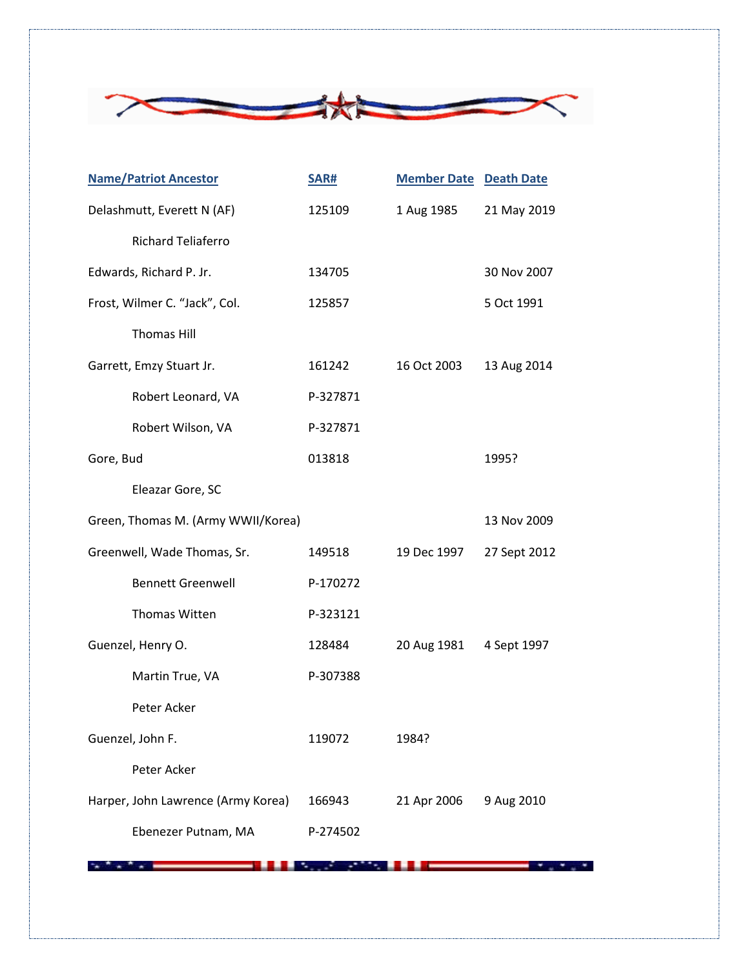

|           | <b>Name/Patriot Ancestor</b>       | SAR#     | <b>Member Date Death Date</b> |              |
|-----------|------------------------------------|----------|-------------------------------|--------------|
|           | Delashmutt, Everett N (AF)         | 125109   | 1 Aug 1985                    | 21 May 2019  |
|           | <b>Richard Teliaferro</b>          |          |                               |              |
|           | Edwards, Richard P. Jr.            | 134705   |                               | 30 Nov 2007  |
|           | Frost, Wilmer C. "Jack", Col.      | 125857   |                               | 5 Oct 1991   |
|           | <b>Thomas Hill</b>                 |          |                               |              |
|           | Garrett, Emzy Stuart Jr.           | 161242   | 16 Oct 2003                   | 13 Aug 2014  |
|           | Robert Leonard, VA                 | P-327871 |                               |              |
|           | Robert Wilson, VA                  | P-327871 |                               |              |
| Gore, Bud |                                    | 013818   |                               | 1995?        |
|           | Eleazar Gore, SC                   |          |                               |              |
|           | Green, Thomas M. (Army WWII/Korea) |          |                               | 13 Nov 2009  |
|           | Greenwell, Wade Thomas, Sr.        | 149518   | 19 Dec 1997                   | 27 Sept 2012 |
|           | <b>Bennett Greenwell</b>           | P-170272 |                               |              |
|           | Thomas Witten                      | P-323121 |                               |              |
|           | Guenzel, Henry O.                  | 128484   | 20 Aug 1981                   | 4 Sept 1997  |
|           | Martin True, VA                    | P-307388 |                               |              |
|           | Peter Acker                        |          |                               |              |
|           | Guenzel, John F.                   | 119072   | 1984?                         |              |
|           | Peter Acker                        |          |                               |              |
|           | Harper, John Lawrence (Army Korea) | 166943   | 21 Apr 2006                   | 9 Aug 2010   |
|           | Ebenezer Putnam, MA                | P-274502 |                               |              |

**AND AND ADDRESS CONTINUES. IN A 1990 WAS SERVED AND RELEASED FOR A 1990 WAS SERVED AND RELEASED FOR A 1990 WAS**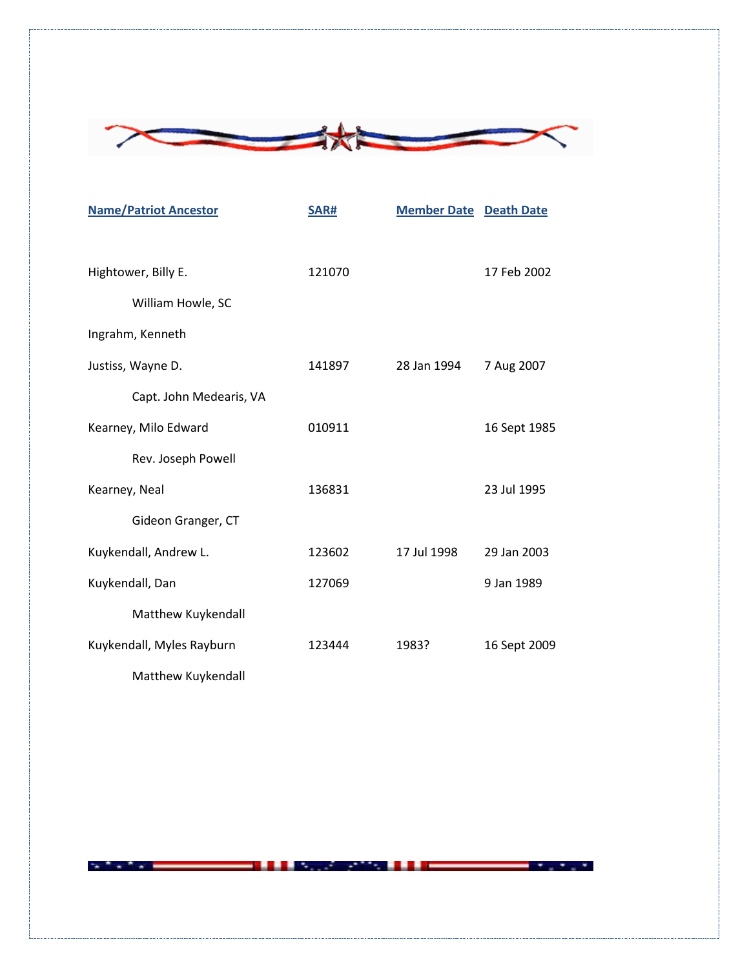

| <b>Name/Patriot Ancestor</b> | SAR#   | <b>Member Date Death Date</b> |              |
|------------------------------|--------|-------------------------------|--------------|
| Hightower, Billy E.          | 121070 |                               | 17 Feb 2002  |
| William Howle, SC            |        |                               |              |
| Ingrahm, Kenneth             |        |                               |              |
| Justiss, Wayne D.            | 141897 | 28 Jan 1994                   | 7 Aug 2007   |
| Capt. John Medearis, VA      |        |                               |              |
| Kearney, Milo Edward         | 010911 |                               | 16 Sept 1985 |
| Rev. Joseph Powell           |        |                               |              |
| Kearney, Neal                | 136831 |                               | 23 Jul 1995  |
| Gideon Granger, CT           |        |                               |              |
| Kuykendall, Andrew L.        | 123602 | 17 Jul 1998                   | 29 Jan 2003  |
| Kuykendall, Dan              | 127069 |                               | 9 Jan 1989   |
| Matthew Kuykendall           |        |                               |              |
| Kuykendall, Myles Rayburn    | 123444 | 1983?                         | 16 Sept 2009 |
| Matthew Kuykendall           |        |                               |              |



**AND AND ADDRESS CONTINUES. IN A 1990 WAS SERVED AND RELEASED FOR A 1990 WAS SERVED AND RELEASED FOR A 1990 WAS**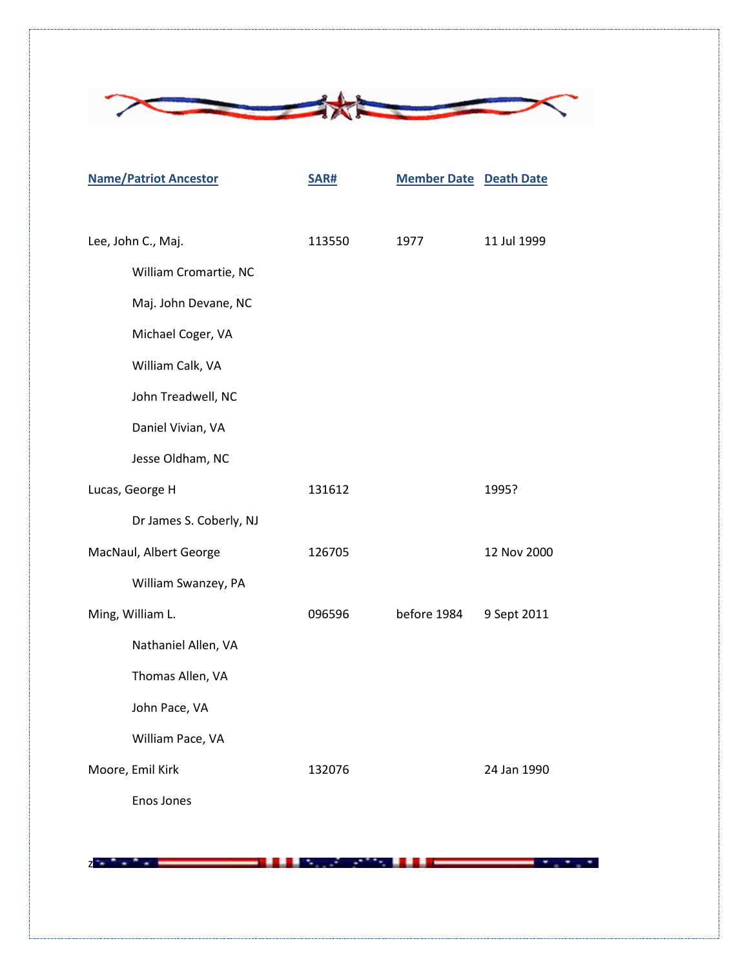

|                        | <b>Name/Patriot Ancestor</b> | <b>SAR#</b> | <b>Member Date Death Date</b> |             |
|------------------------|------------------------------|-------------|-------------------------------|-------------|
|                        |                              |             |                               |             |
| Lee, John C., Maj.     |                              | 113550      | 1977                          | 11 Jul 1999 |
|                        | William Cromartie, NC        |             |                               |             |
|                        | Maj. John Devane, NC         |             |                               |             |
|                        | Michael Coger, VA            |             |                               |             |
|                        | William Calk, VA             |             |                               |             |
|                        | John Treadwell, NC           |             |                               |             |
|                        | Daniel Vivian, VA            |             |                               |             |
|                        | Jesse Oldham, NC             |             |                               |             |
| Lucas, George H        |                              | 131612      |                               | 1995?       |
|                        | Dr James S. Coberly, NJ      |             |                               |             |
| MacNaul, Albert George |                              | 126705      |                               | 12 Nov 2000 |
|                        | William Swanzey, PA          |             |                               |             |
|                        | Ming, William L.             | 096596      | before 1984                   | 9 Sept 2011 |
|                        | Nathaniel Allen, VA          |             |                               |             |
|                        | Thomas Allen, VA             |             |                               |             |
|                        | John Pace, VA                |             |                               |             |
|                        | William Pace, VA             |             |                               |             |
| Moore, Emil Kirk       |                              | 132076      |                               | 24 Jan 1990 |
|                        | Enos Jones                   |             |                               |             |

 $z - z - z$ **Controller State State** 

٠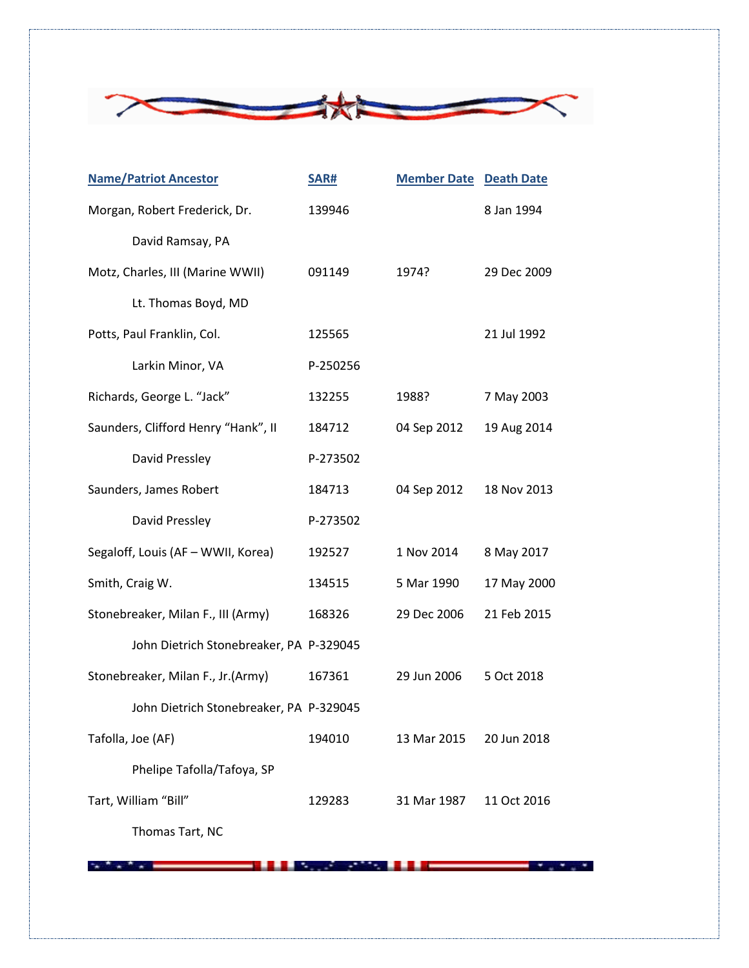

| <b>Name/Patriot Ancestor</b>            | SAR#     | <b>Member Date Death Date</b> |             |
|-----------------------------------------|----------|-------------------------------|-------------|
| Morgan, Robert Frederick, Dr.           | 139946   |                               | 8 Jan 1994  |
| David Ramsay, PA                        |          |                               |             |
| Motz, Charles, III (Marine WWII)        | 091149   | 1974?                         | 29 Dec 2009 |
| Lt. Thomas Boyd, MD                     |          |                               |             |
| Potts, Paul Franklin, Col.              | 125565   |                               | 21 Jul 1992 |
| Larkin Minor, VA                        | P-250256 |                               |             |
| Richards, George L. "Jack"              | 132255   | 1988?                         | 7 May 2003  |
| Saunders, Clifford Henry "Hank", II     | 184712   | 04 Sep 2012                   | 19 Aug 2014 |
| David Pressley                          | P-273502 |                               |             |
| Saunders, James Robert                  | 184713   | 04 Sep 2012                   | 18 Nov 2013 |
| David Pressley                          | P-273502 |                               |             |
| Segaloff, Louis (AF - WWII, Korea)      | 192527   | 1 Nov 2014                    | 8 May 2017  |
| Smith, Craig W.                         | 134515   | 5 Mar 1990                    | 17 May 2000 |
| Stonebreaker, Milan F., III (Army)      | 168326   | 29 Dec 2006                   | 21 Feb 2015 |
| John Dietrich Stonebreaker, PA P-329045 |          |                               |             |
| Stonebreaker, Milan F., Jr.(Army)       | 167361   | 29 Jun 2006                   | 5 Oct 2018  |
| John Dietrich Stonebreaker, PA P-329045 |          |                               |             |
| Tafolla, Joe (AF)                       | 194010   | 13 Mar 2015                   | 20 Jun 2018 |
| Phelipe Tafolla/Tafoya, SP              |          |                               |             |
| Tart, William "Bill"                    | 129283   | 31 Mar 1987                   | 11 Oct 2016 |

Thomas Tart, NC

where the comment of the control of the comment of the control of the control of the control of the control of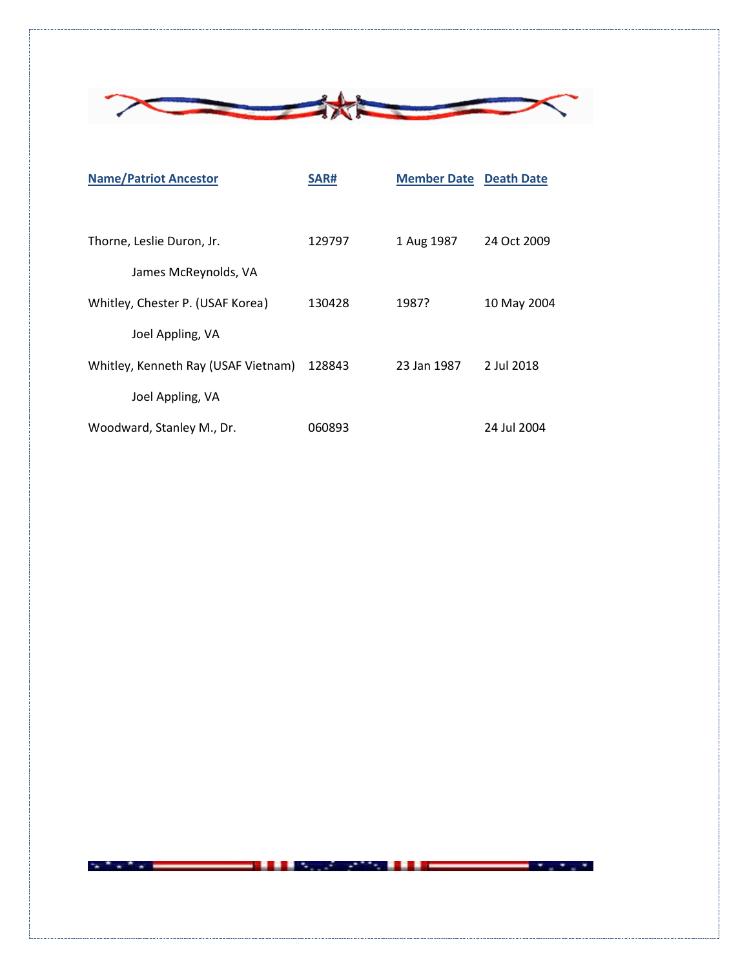

| <b>Name/Patriot Ancestor</b>        | SAR#   | <b>Member Date Death Date</b> |             |
|-------------------------------------|--------|-------------------------------|-------------|
|                                     |        |                               |             |
| Thorne, Leslie Duron, Jr.           | 129797 | 1 Aug 1987                    | 24 Oct 2009 |
| James McReynolds, VA                |        |                               |             |
| Whitley, Chester P. (USAF Korea)    | 130428 | 1987?                         | 10 May 2004 |
| Joel Appling, VA                    |        |                               |             |
| Whitley, Kenneth Ray (USAF Vietnam) | 128843 | 23 Jan 1987                   | 2 Jul 2018  |
| Joel Appling, VA                    |        |                               |             |
| Woodward, Stanley M., Dr.           | 060893 |                               | 24 Jul 2004 |

**AND AND ADDRESS CONTINUES. IN A 1990 WAS SERVED AND RELEASED FOR A 1990 WAS SERVED AND RELEASED FOR A 1990 WAS**